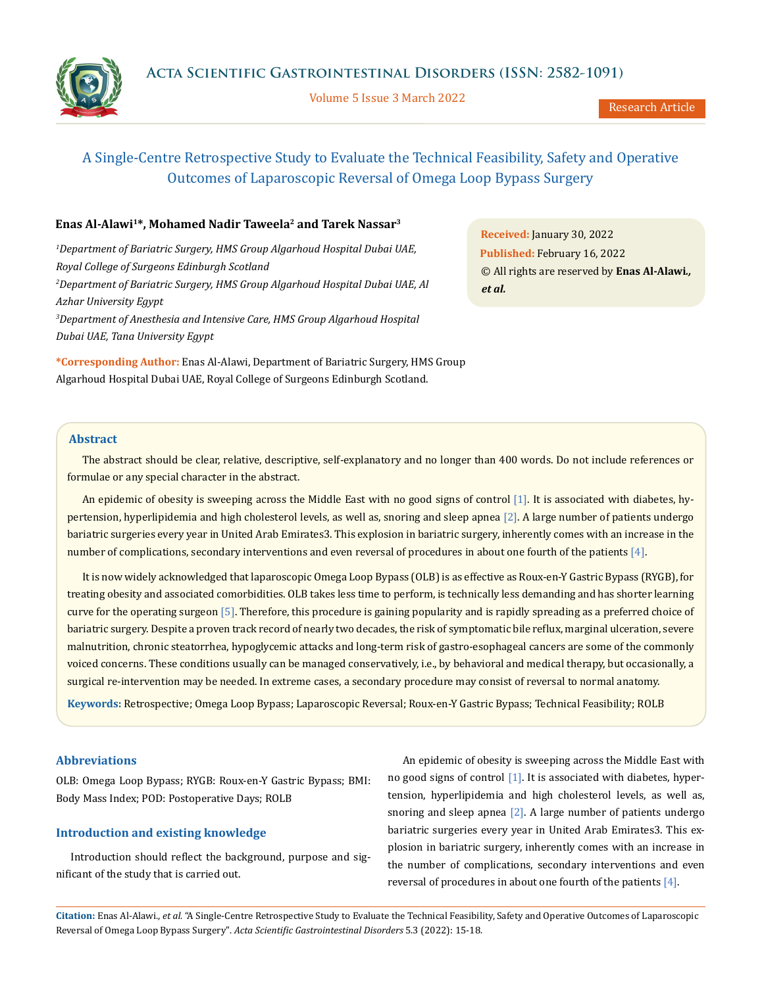

Volume 5 Issue 3 March 2022

Research Article

# A Single-Centre Retrospective Study to Evaluate the Technical Feasibility, Safety and Operative Outcomes of Laparoscopic Reversal of Omega Loop Bypass Surgery

# **Enas Al-Alawi1\*, Mohamed Nadir Taweela2 and Tarek Nassar3**

*1 Department of Bariatric Surgery, HMS Group Algarhoud Hospital Dubai UAE, Royal College of Surgeons Edinburgh Scotland 2 Department of Bariatric Surgery, HMS Group Algarhoud Hospital Dubai UAE, Al Azhar University Egypt 3 Department of Anesthesia and Intensive Care, HMS Group Algarhoud Hospital Dubai UAE, Tana University Egypt*

**\*Corresponding Author:** Enas Al-Alawi, Department of Bariatric Surgery, HMS Group Algarhoud Hospital Dubai UAE, Royal College of Surgeons Edinburgh Scotland.

**Received:** January 30, 2022 **Published:** February 16, 2022 © All rights are reserved by **Enas Al-Alawi***., et al.*

# **Abstract**

The abstract should be clear, relative, descriptive, self-explanatory and no longer than 400 words. Do not include references or formulae or any special character in the abstract.

An epidemic of obesity is sweeping across the Middle East with no good signs of control [1]. It is associated with diabetes, hypertension, hyperlipidemia and high cholesterol levels, as well as, snoring and sleep apnea [2]. A large number of patients undergo bariatric surgeries every year in United Arab Emirates3. This explosion in bariatric surgery, inherently comes with an increase in the number of complications, secondary interventions and even reversal of procedures in about one fourth of the patients [4].

It is now widely acknowledged that laparoscopic Omega Loop Bypass (OLB) is as effective as Roux-en-Y Gastric Bypass (RYGB), for treating obesity and associated comorbidities. OLB takes less time to perform, is technically less demanding and has shorter learning curve for the operating surgeon [5]. Therefore, this procedure is gaining popularity and is rapidly spreading as a preferred choice of bariatric surgery. Despite a proven track record of nearly two decades, the risk of symptomatic bile reflux, marginal ulceration, severe malnutrition, chronic steatorrhea, hypoglycemic attacks and long-term risk of gastro-esophageal cancers are some of the commonly voiced concerns. These conditions usually can be managed conservatively, i.e., by behavioral and medical therapy, but occasionally, a surgical re-intervention may be needed. In extreme cases, a secondary procedure may consist of reversal to normal anatomy.

**Keywords:** Retrospective; Omega Loop Bypass; Laparoscopic Reversal; Roux-en-Y Gastric Bypass; Technical Feasibility; ROLB

# **Abbreviations**

OLB: Omega Loop Bypass; RYGB: Roux-en-Y Gastric Bypass; BMI: Body Mass Index; POD: Postoperative Days; ROLB

# **Introduction and existing knowledge**

Introduction should reflect the background, purpose and significant of the study that is carried out.

An epidemic of obesity is sweeping across the Middle East with no good signs of control  $[1]$ . It is associated with diabetes, hypertension, hyperlipidemia and high cholesterol levels, as well as, snoring and sleep apnea  $[2]$ . A large number of patients undergo bariatric surgeries every year in United Arab Emirates3. This explosion in bariatric surgery, inherently comes with an increase in the number of complications, secondary interventions and even reversal of procedures in about one fourth of the patients [4].

**Citation:** Enas Al-Alawi*., et al.* "A Single-Centre Retrospective Study to Evaluate the Technical Feasibility, Safety and Operative Outcomes of Laparoscopic Reversal of Omega Loop Bypass Surgery". *Acta Scientific Gastrointestinal Disorders* 5.3 (2022): 15-18.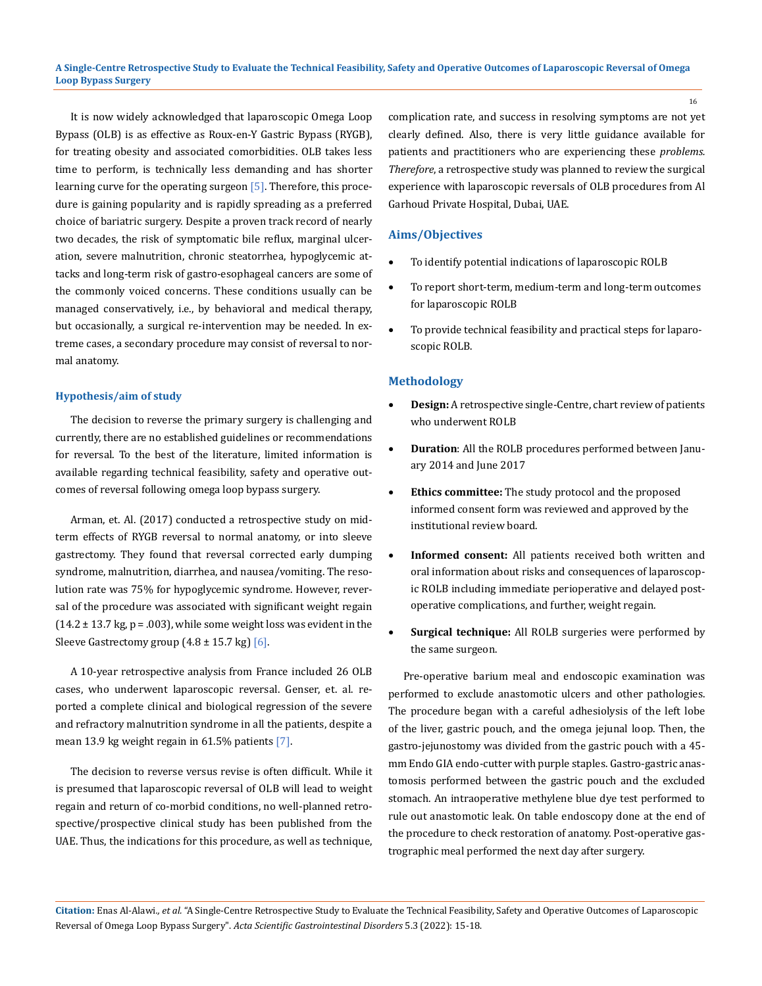**A Single-Centre Retrospective Study to Evaluate the Technical Feasibility, Safety and Operative Outcomes of Laparoscopic Reversal of Omega Loop Bypass Surgery**

It is now widely acknowledged that laparoscopic Omega Loop Bypass (OLB) is as effective as Roux-en-Y Gastric Bypass (RYGB), for treating obesity and associated comorbidities. OLB takes less time to perform, is technically less demanding and has shorter learning curve for the operating surgeon [5]. Therefore, this procedure is gaining popularity and is rapidly spreading as a preferred choice of bariatric surgery. Despite a proven track record of nearly two decades, the risk of symptomatic bile reflux, marginal ulceration, severe malnutrition, chronic steatorrhea, hypoglycemic attacks and long-term risk of gastro-esophageal cancers are some of the commonly voiced concerns. These conditions usually can be managed conservatively, i.e., by behavioral and medical therapy, but occasionally, a surgical re-intervention may be needed. In extreme cases, a secondary procedure may consist of reversal to normal anatomy.

#### **Hypothesis/aim of study**

The decision to reverse the primary surgery is challenging and currently, there are no established guidelines or recommendations for reversal. To the best of the literature, limited information is available regarding technical feasibility, safety and operative outcomes of reversal following omega loop bypass surgery.

Arman, et. Al. (2017) conducted a retrospective study on midterm effects of RYGB reversal to normal anatomy, or into sleeve gastrectomy. They found that reversal corrected early dumping syndrome, malnutrition, diarrhea, and nausea/vomiting. The resolution rate was 75% for hypoglycemic syndrome. However, reversal of the procedure was associated with significant weight regain  $(14.2 \pm 13.7 \text{ kg}, \text{p} = .003)$ , while some weight loss was evident in the Sleeve Gastrectomy group  $(4.8 \pm 15.7 \text{ kg})$  [6].

A 10-year retrospective analysis from France included 26 OLB cases, who underwent laparoscopic reversal. Genser, et. al. reported a complete clinical and biological regression of the severe and refractory malnutrition syndrome in all the patients, despite a mean 13.9 kg weight regain in 61.5% patients [7].

The decision to reverse versus revise is often difficult. While it is presumed that laparoscopic reversal of OLB will lead to weight regain and return of co-morbid conditions, no well-planned retrospective/prospective clinical study has been published from the UAE. Thus, the indications for this procedure, as well as technique, complication rate, and success in resolving symptoms are not yet clearly defined. Also, there is very little guidance available for patients and practitioners who are experiencing these *problems. Therefore*, a retrospective study was planned to review the surgical experience with laparoscopic reversals of OLB procedures from Al Garhoud Private Hospital, Dubai, UAE.

# **Aims/Objectives**

- To identify potential indications of laparoscopic ROLB
- To report short-term, medium-term and long-term outcomes for laparoscopic ROLB
- To provide technical feasibility and practical steps for laparoscopic ROLB.

# **Methodology**

- **Design:** A retrospective single-Centre, chart review of patients who underwent ROLB
- **Duration**: All the ROLB procedures performed between January 2014 and June 2017
- • **Ethics committee:** The study protocol and the proposed informed consent form was reviewed and approved by the institutional review board.
- • **Informed consent:** All patients received both written and oral information about risks and consequences of laparoscopic ROLB including immediate perioperative and delayed postoperative complications, and further, weight regain.
- **Surgical technique:** All ROLB surgeries were performed by the same surgeon.

Pre-operative barium meal and endoscopic examination was performed to exclude anastomotic ulcers and other pathologies. The procedure began with a careful adhesiolysis of the left lobe of the liver, gastric pouch, and the omega jejunal loop. Then, the gastro-jejunostomy was divided from the gastric pouch with a 45 mm Endo GIA endo-cutter with purple staples. Gastro-gastric anastomosis performed between the gastric pouch and the excluded stomach. An intraoperative methylene blue dye test performed to rule out anastomotic leak. On table endoscopy done at the end of the procedure to check restoration of anatomy. Post-operative gastrographic meal performed the next day after surgery.

**Citation:** Enas Al-Alawi*., et al.* "A Single-Centre Retrospective Study to Evaluate the Technical Feasibility, Safety and Operative Outcomes of Laparoscopic Reversal of Omega Loop Bypass Surgery". *Acta Scientific Gastrointestinal Disorders* 5.3 (2022): 15-18.

16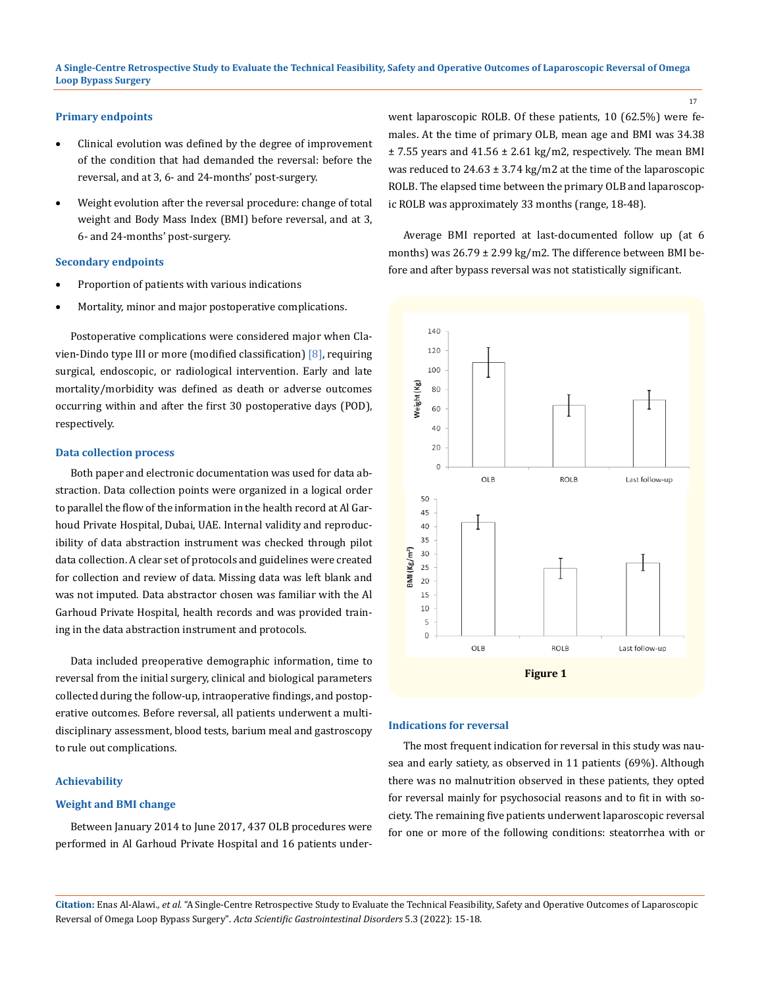# **Primary endpoints**

- Clinical evolution was defined by the degree of improvement of the condition that had demanded the reversal: before the reversal, and at 3, 6- and 24-months' post-surgery.
- Weight evolution after the reversal procedure: change of total weight and Body Mass Index (BMI) before reversal, and at 3, 6- and 24-months' post-surgery.

#### **Secondary endpoints**

- Proportion of patients with various indications
- Mortality, minor and major postoperative complications.

Postoperative complications were considered major when Clavien-Dindo type III or more (modified classification) [8], requiring surgical, endoscopic, or radiological intervention. Early and late mortality/morbidity was defined as death or adverse outcomes occurring within and after the first 30 postoperative days (POD), respectively.

#### **Data collection process**

Both paper and electronic documentation was used for data abstraction. Data collection points were organized in a logical order to parallel the flow of the information in the health record at Al Garhoud Private Hospital, Dubai, UAE. Internal validity and reproducibility of data abstraction instrument was checked through pilot data collection. A clear set of protocols and guidelines were created for collection and review of data. Missing data was left blank and was not imputed. Data abstractor chosen was familiar with the Al Garhoud Private Hospital, health records and was provided training in the data abstraction instrument and protocols.

Data included preoperative demographic information, time to reversal from the initial surgery, clinical and biological parameters collected during the follow-up, intraoperative findings, and postoperative outcomes. Before reversal, all patients underwent a multidisciplinary assessment, blood tests, barium meal and gastroscopy to rule out complications.

#### **Achievability**

#### **Weight and BMI change**

Between January 2014 to June 2017, 437 OLB procedures were performed in Al Garhoud Private Hospital and 16 patients underwent laparoscopic ROLB. Of these patients, 10 (62.5%) were females. At the time of primary OLB, mean age and BMI was 34.38  $±$  7.55 years and 41.56  $±$  2.61 kg/m2, respectively. The mean BMI was reduced to  $24.63 \pm 3.74$  kg/m2 at the time of the laparoscopic ROLB. The elapsed time between the primary OLB and laparoscopic ROLB was approximately 33 months (range, 18-48).

17

Average BMI reported at last-documented follow up (at 6 months) was 26.79 ± 2.99 kg/m2. The difference between BMI before and after bypass reversal was not statistically significant.



#### **Indications for reversal**

The most frequent indication for reversal in this study was nausea and early satiety, as observed in 11 patients (69%). Although there was no malnutrition observed in these patients, they opted for reversal mainly for psychosocial reasons and to fit in with society. The remaining five patients underwent laparoscopic reversal for one or more of the following conditions: steatorrhea with or

**Citation:** Enas Al-Alawi*., et al.* "A Single-Centre Retrospective Study to Evaluate the Technical Feasibility, Safety and Operative Outcomes of Laparoscopic Reversal of Omega Loop Bypass Surgery". *Acta Scientific Gastrointestinal Disorders* 5.3 (2022): 15-18.